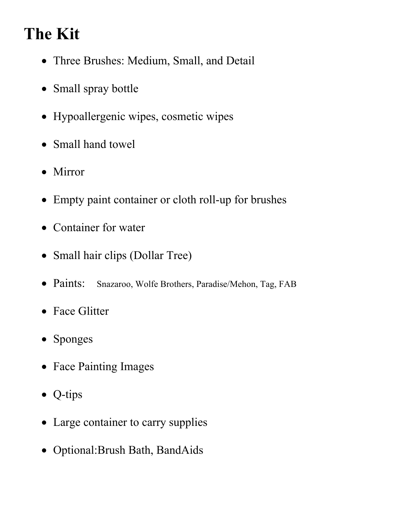# **The Kit**

- Three Brushes: Medium, Small, and Detail
- Small spray bottle
- Hypoallergenic wipes, cosmetic wipes
- Small hand towel
- Mirror
- Empty paint container or cloth roll-up for brushes
- Container for water
- Small hair clips (Dollar Tree)
- Paints: Snazaroo, Wolfe Brothers, Paradise/Mehon, Tag, FAB
- Face Glitter
- Sponges
- Face Painting Images
- Q-tips
- Large container to carry supplies
- Optional:Brush Bath, BandAids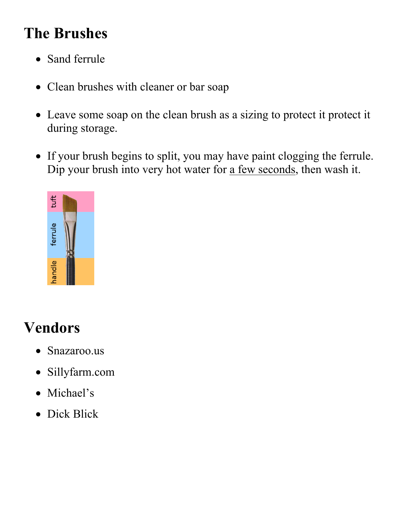# **The Brushes**

- Sand ferrule
- Clean brushes with cleaner or bar soap
- Leave some soap on the clean brush as a sizing to protect it protect it during storage.
- If your brush begins to split, you may have paint clogging the ferrule. Dip your brush into very hot water for <u>a few seconds</u>, then wash it.



# **Vendors**

- Snazaroo.us
- Sillyfarm.com
- Michael's
- Dick Blick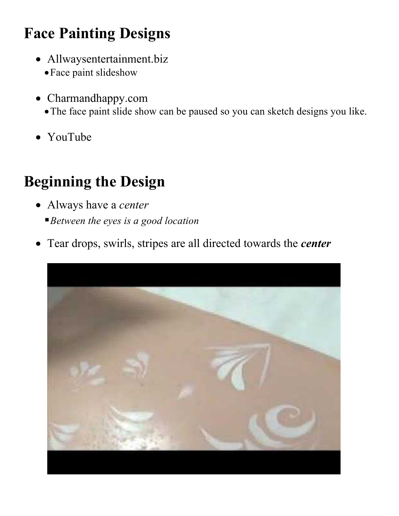# **Face Painting Designs**

- Allwaysentertainment.biz
	- •Face paint slideshow
- Charmandhappy.com
	- •The face paint slide show can be paused so you can sketch designs you like.
- YouTube

# **Beginning the Design**

- Always have a *center*
	- §*Between the eyes is a good location*
- Tear drops, swirls, stripes are all directed towards the *center*

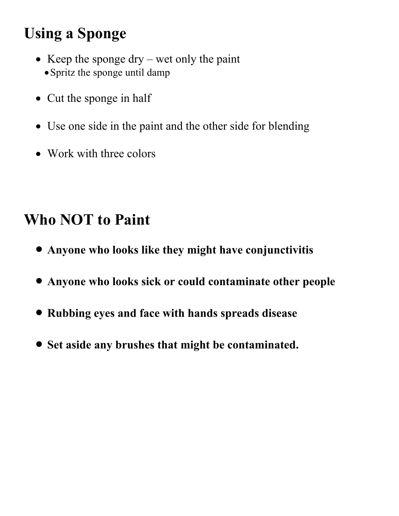# **Using a Sponge**

- Keep the sponge dry wet only the paint • Spritz the sponge until damp
- Cut the sponge in half
- Use one side in the paint and the other side for blending
- Work with three colors

### **Who NOT to Paint**

- **Anyone who looks like they might have conjunctivitis**
- **Anyone who looks sick or could contaminate other people**
- **Rubbing eyes and face with hands spreads disease**
- **Set aside any brushes that might be contaminated.**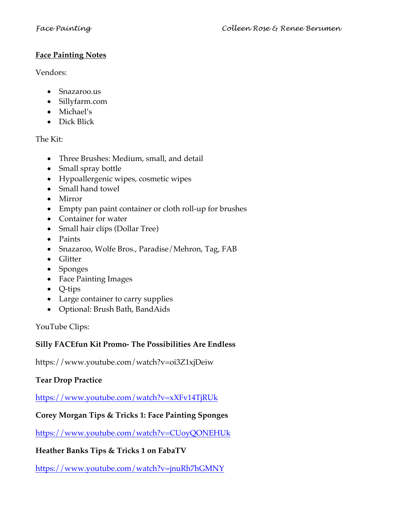#### **Face Painting Notes**

Vendors:

- Snazaroo.us
- Sillyfarm.com
- Michael's
- Dick Blick

The Kit:

- Three Brushes: Medium, small, and detail
- Small spray bottle
- Hypoallergenic wipes, cosmetic wipes
- Small hand towel
- Mirror
- Empty pan paint container or cloth roll-up for brushes
- Container for water
- Small hair clips (Dollar Tree)
- Paints
- Snazaroo, Wolfe Bros., Paradise/Mehron, Tag, FAB
- Glitter
- Sponges
- Face Painting Images
- Q-tips
- Large container to carry supplies
- Optional: Brush Bath, BandAids

YouTube Clips:

### **Silly FACEfun Kit Promo- The Possibilities Are Endless**

https://www.youtube.com/watch?v=oi3Z1xjDeiw

### **Tear Drop Practice**

https://www.youtube.com/watch?v=xXFv14TjRUk

### **Corey Morgan Tips & Tricks 1: Face Painting Sponges**

https://www.youtube.com/watch?v=CUoyQONEHUk

### **Heather Banks Tips & Tricks 1 on FabaTV**

https://www.youtube.com/watch?v=jnuRh7hGMNY